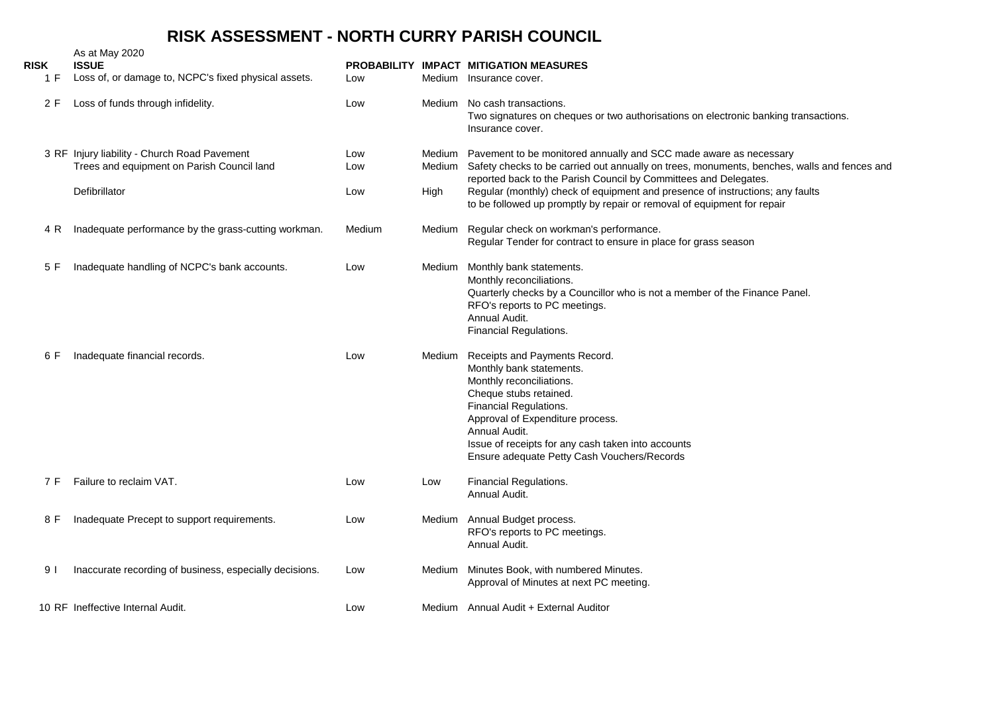## **RISK ASSESSMENT - NORTH CURRY PARISH COUNCIL**

| <b>RISK</b><br>1 F | As at May 2020<br><b>ISSUE</b><br>Loss of, or damage to, NCPC's fixed physical assets.     | Low        | Medium           | PROBABILITY IMPACT MITIGATION MEASURES<br>Insurance cover.                                                                                                                                                                                                                                          |
|--------------------|--------------------------------------------------------------------------------------------|------------|------------------|-----------------------------------------------------------------------------------------------------------------------------------------------------------------------------------------------------------------------------------------------------------------------------------------------------|
| 2 F                | Loss of funds through infidelity.                                                          | Low        | Medium           | No cash transactions.<br>Two signatures on cheques or two authorisations on electronic banking transactions.<br>Insurance cover.                                                                                                                                                                    |
|                    | 3 RF Injury liability - Church Road Pavement<br>Trees and equipment on Parish Council land | Low<br>Low | Medium<br>Medium | Pavement to be monitored annually and SCC made aware as necessary<br>Safety checks to be carried out annually on trees, monuments, benches, walls and fences and<br>reported back to the Parish Council by Committees and Delegates.                                                                |
|                    | Defibrillator                                                                              | Low        | High             | Regular (monthly) check of equipment and presence of instructions; any faults<br>to be followed up promptly by repair or removal of equipment for repair                                                                                                                                            |
| 4 R                | Inadequate performance by the grass-cutting workman.                                       | Medium     | Medium           | Regular check on workman's performance.<br>Regular Tender for contract to ensure in place for grass season                                                                                                                                                                                          |
| 5 F                | Inadequate handling of NCPC's bank accounts.                                               | Low        | Medium           | Monthly bank statements.<br>Monthly reconciliations.<br>Quarterly checks by a Councillor who is not a member of the Finance Panel.<br>RFO's reports to PC meetings.<br>Annual Audit.<br>Financial Regulations.                                                                                      |
| 6 F                | Inadequate financial records.                                                              | Low        | Medium           | Receipts and Payments Record.<br>Monthly bank statements.<br>Monthly reconciliations.<br>Cheque stubs retained.<br>Financial Regulations.<br>Approval of Expenditure process.<br>Annual Audit.<br>Issue of receipts for any cash taken into accounts<br>Ensure adequate Petty Cash Vouchers/Records |
| 7 F                | Failure to reclaim VAT.                                                                    | Low        | Low              | Financial Regulations.<br>Annual Audit.                                                                                                                                                                                                                                                             |
| 8 F                | Inadequate Precept to support requirements.                                                | Low        | Medium           | Annual Budget process.<br>RFO's reports to PC meetings.<br>Annual Audit.                                                                                                                                                                                                                            |
| 9 I                | Inaccurate recording of business, especially decisions.                                    | Low        | Medium           | Minutes Book, with numbered Minutes.<br>Approval of Minutes at next PC meeting.                                                                                                                                                                                                                     |
|                    | 10 RF Ineffective Internal Audit.                                                          | Low        |                  | Medium Annual Audit + External Auditor                                                                                                                                                                                                                                                              |